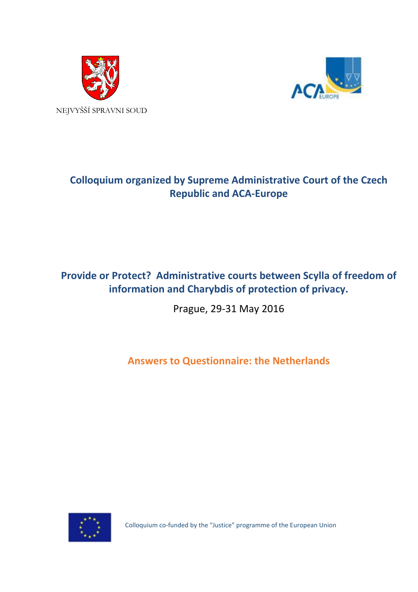



# **Colloquium organized by Supreme Administrative Court of the Czech Republic and ACA-Europe**

## **Provide or Protect? Administrative courts between Scylla of freedom of information and Charybdis of protection of privacy.**

Prague, 29-31 May 2016

**Answers to Questionnaire: the Netherlands**



Colloquium co-funded by the "Justice" programme of the European Union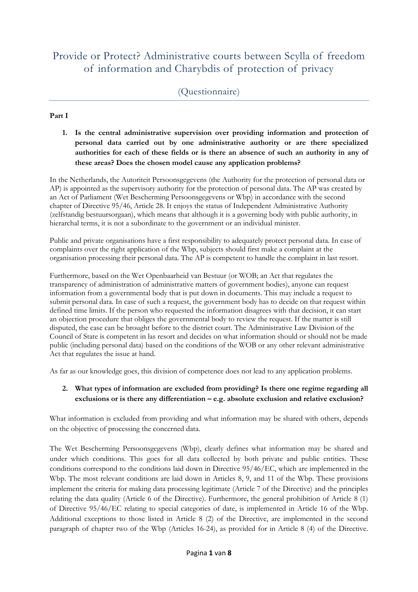## Provide or Protect? Administrative courts between Scylla of freedom of information and Charybdis of protection of privacy

#### **Part I**

**1. Is the central administrative supervision over providing information and protection of personal data carried out by one administrative authority or are there specialized authorities for each of these fields or is there an absence of such an authority in any of these areas? Does the chosen model cause any application problems?**

In the Netherlands, the Autoriteit Persoonsgegevens (the Authority for the protection of personal data or AP) is appointed as the supervisory authority for the protection of personal data. The AP was created by an Act of Parliament (Wet Bescherming Persoonsgegevens or Wbp) in accordance with the second chapter of Directive 95/46, Article 28. It enjoys the status of Independent Administrative Authority (zelfstandig bestuursorgaan), which means that although it is a governing body with public authority, in hierarchal terms, it is not a subordinate to the government or an individual minister.

Public and private organisations have a first responsibility to adequately protect personal data. In case of complaints over the right application of the Wbp, subjects should first make a complaint at the organisation processing their personal data. The AP is competent to handle the complaint in last resort.

Furthermore, based on the Wet Openbaarheid van Bestuur (or WOB; an Act that regulates the transparency of administration of administrative matters of government bodies), anyone can request information from a governmental body that is put down in documents. This may include a request to submit personal data. In case of such a request, the government body has to decide on that request within defined time limits. If the person who requested the information disagrees with that decision, it can start an objection procedure that obliges the governmental body to review the request. If the matter is still disputed, the case can be brought before to the district court. The Administrative Law Division of the Council of State is competent in las resort and decides on what information should or should not be made public (including personal data) based on the conditions of the WOB or any other relevant administrative Act that regulates the issue at hand.

As far as our knowledge goes, this division of competence does not lead to any application problems.

#### **2. What types of information are excluded from providing? Is there one regime regarding all exclusions or is there any differentiation – e.g. absolute exclusion and relative exclusion?**

What information is excluded from providing and what information may be shared with others, depends on the objective of processing the concerned data.

The Wet Bescherming Persoonsgegevens (Wbp), clearly defines what information may be shared and under which conditions. This goes for all data collected by both private and public entities. These conditions correspond to the conditions laid down in Directive 95/46/EC, which are implemented in the Wbp. The most relevant conditions are laid down in Articles 8, 9, and 11 of the Wbp. These provisions implement the criteria for making data processing legitimate (Article 7 of the Directive) and the principles relating the data quality (Article 6 of the Directive). Furthermore, the general prohibition of Article 8 (1) of Directive 95/46/EC relating to special categories of date, is implemented in Article 16 of the Wbp. Additional exceptions to those listed in Article 8 (2) of the Directive, are implemented in the second paragraph of chapter two of the Wbp (Articles 16-24), as provided for in Article 8 (4) of the Directive.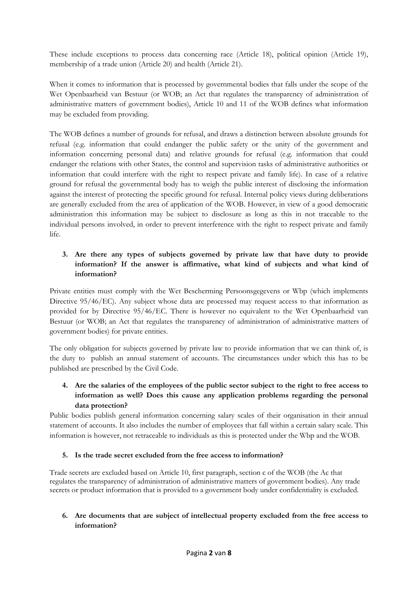These include exceptions to process data concerning race (Article 18), political opinion (Article 19), membership of a trade union (Article 20) and health (Article 21).

When it comes to information that is processed by governmental bodies that falls under the scope of the Wet Openbaarheid van Bestuur (or WOB; an Act that regulates the transparency of administration of administrative matters of government bodies), Article 10 and 11 of the WOB defines what information may be excluded from providing.

The WOB defines a number of grounds for refusal, and draws a distinction between absolute grounds for refusal (e.g. information that could endanger the public safety or the unity of the government and information concerning personal data) and relative grounds for refusal (e.g. information that could endanger the relations with other States, the control and supervision tasks of administrative authorities or information that could interfere with the right to respect private and family life). In case of a relative ground for refusal the governmental body has to weigh the public interest of disclosing the information against the interest of protecting the specific ground for refusal. Internal policy views during deliberations are generally excluded from the area of application of the WOB. However, in view of a good democratic administration this information may be subject to disclosure as long as this in not traceable to the individual persons involved, in order to prevent interference with the right to respect private and family life.

### **3. Are there any types of subjects governed by private law that have duty to provide information? If the answer is affirmative, what kind of subjects and what kind of information?**

Private entities must comply with the Wet Bescherming Persoonsgegevens or Wbp (which implements Directive 95/46/EC). Any subject whose data are processed may request access to that information as provided for by Directive 95/46/EC. There is however no equivalent to the Wet Openbaarheid van Bestuur (or WOB; an Act that regulates the transparency of administration of administrative matters of government bodies) for private entities.

The only obligation for subjects governed by private law to provide information that we can think of, is the duty to publish an annual statement of accounts. The circumstances under which this has to be published are prescribed by the Civil Code.

## **4. Are the salaries of the employees of the public sector subject to the right to free access to information as well? Does this cause any application problems regarding the personal data protection?**

Public bodies publish general information concerning salary scales of their organisation in their annual statement of accounts. It also includes the number of employees that fall within a certain salary scale. This information is however, not retraceable to individuals as this is protected under the Wbp and the WOB.

#### **5. Is the trade secret excluded from the free access to information?**

Trade secrets are excluded based on Article 10, first paragraph, section c of the WOB (the Ac that regulates the transparency of administration of administrative matters of government bodies). Any trade secrets or product information that is provided to a government body under confidentiality is excluded.

#### **6. Are documents that are subject of intellectual property excluded from the free access to information?**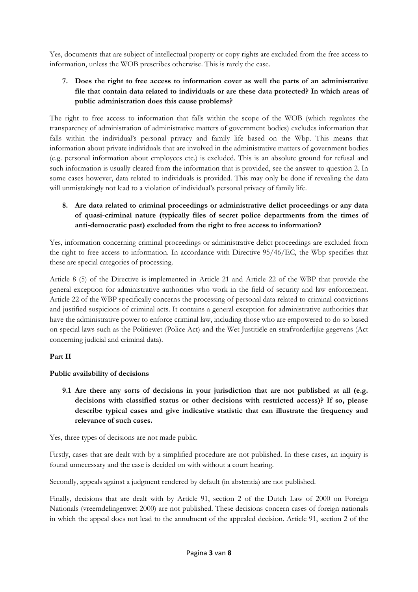Yes, documents that are subject of intellectual property or copy rights are excluded from the free access to information, unless the WOB prescribes otherwise. This is rarely the case.

## **7. Does the right to free access to information cover as well the parts of an administrative file that contain data related to individuals or are these data protected? In which areas of public administration does this cause problems?**

The right to free access to information that falls within the scope of the WOB (which regulates the transparency of administration of administrative matters of government bodies) excludes information that falls within the individual's personal privacy and family life based on the Wbp. This means that information about private individuals that are involved in the administrative matters of government bodies (e.g. personal information about employees etc.) is excluded. This is an absolute ground for refusal and such information is usually cleared from the information that is provided, see the answer to question 2. In some cases however, data related to individuals is provided. This may only be done if revealing the data will unmistakingly not lead to a violation of individual's personal privacy of family life.

## **8. Are data related to criminal proceedings or administrative delict proceedings or any data of quasi-criminal nature (typically files of secret police departments from the times of anti-democratic past) excluded from the right to free access to information?**

Yes, information concerning criminal proceedings or administrative delict proceedings are excluded from the right to free access to information. In accordance with Directive 95/46/EC, the Wbp specifies that these are special categories of processing.

Article 8 (5) of the Directive is implemented in Article 21 and Article 22 of the WBP that provide the general exception for administrative authorities who work in the field of security and law enforcement. Article 22 of the WBP specifically concerns the processing of personal data related to criminal convictions and justified suspicions of criminal acts. It contains a general exception for administrative authorities that have the administrative power to enforce criminal law, including those who are empowered to do so based on special laws such as the Politiewet (Police Act) and the Wet Justitiële en strafvorderlijke gegevens (Act concerning judicial and criminal data).

## **Part II**

## **Public availability of decisions**

**9.1 Are there any sorts of decisions in your jurisdiction that are not published at all (e.g. decisions with classified status or other decisions with restricted access)? If so, please describe typical cases and give indicative statistic that can illustrate the frequency and relevance of such cases.** 

Yes, three types of decisions are not made public.

Firstly, cases that are dealt with by a simplified procedure are not published. In these cases, an inquiry is found unnecessary and the case is decided on with without a court hearing.

Secondly, appeals against a judgment rendered by default (in abstentia) are not published.

Finally, decisions that are dealt with by Article 91, section 2 of the Dutch Law of 2000 on Foreign Nationals (vreemdelingenwet 2000) are not published. These decisions concern cases of foreign nationals in which the appeal does not lead to the annulment of the appealed decision. Article 91, section 2 of the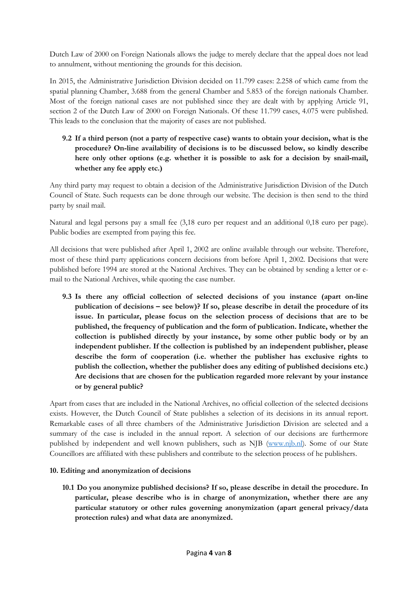Dutch Law of 2000 on Foreign Nationals allows the judge to merely declare that the appeal does not lead to annulment, without mentioning the grounds for this decision.

In 2015, the Administrative Jurisdiction Division decided on 11.799 cases: 2.258 of which came from the spatial planning Chamber, 3.688 from the general Chamber and 5.853 of the foreign nationals Chamber. Most of the foreign national cases are not published since they are dealt with by applying Article 91, section 2 of the Dutch Law of 2000 on Foreign Nationals. Of these 11.799 cases, 4.075 were published. This leads to the conclusion that the majority of cases are not published.

## **9.2 If a third person (not a party of respective case) wants to obtain your decision, what is the procedure? On-line availability of decisions is to be discussed below, so kindly describe here only other options (e.g. whether it is possible to ask for a decision by snail-mail, whether any fee apply etc.)**

Any third party may request to obtain a decision of the Administrative Jurisdiction Division of the Dutch Council of State. Such requests can be done through our website. The decision is then send to the third party by snail mail.

Natural and legal persons pay a small fee (3,18 euro per request and an additional 0,18 euro per page). Public bodies are exempted from paying this fee.

All decisions that were published after April 1, 2002 are online available through our website. Therefore, most of these third party applications concern decisions from before April 1, 2002. Decisions that were published before 1994 are stored at the National Archives. They can be obtained by sending a letter or email to the National Archives, while quoting the case number.

**9.3 Is there any official collection of selected decisions of you instance (apart on-line publication of decisions – see below)? If so, please describe in detail the procedure of its issue. In particular, please focus on the selection process of decisions that are to be published, the frequency of publication and the form of publication. Indicate, whether the collection is published directly by your instance, by some other public body or by an independent publisher. If the collection is published by an independent publisher, please describe the form of cooperation (i.e. whether the publisher has exclusive rights to publish the collection, whether the publisher does any editing of published decisions etc.) Are decisions that are chosen for the publication regarded more relevant by your instance or by general public?**

Apart from cases that are included in the National Archives, no official collection of the selected decisions exists. However, the Dutch Council of State publishes a selection of its decisions in its annual report. Remarkable cases of all three chambers of the Administrative Jurisdiction Division are selected and a summary of the case is included in the annual report. A selection of our decisions are furthermore published by independent and well known publishers, such as NJB [\(www.njb.nl\)](http://www.njb.nl/). Some of our State Councillors are affiliated with these publishers and contribute to the selection process of he publishers.

#### **10. Editing and anonymization of decisions**

**10.1 Do you anonymize published decisions? If so, please describe in detail the procedure. In particular, please describe who is in charge of anonymization, whether there are any particular statutory or other rules governing anonymization (apart general privacy/data protection rules) and what data are anonymized.**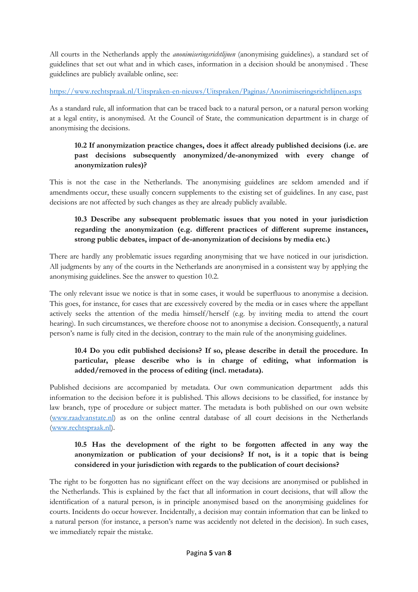All courts in the Netherlands apply the *anonimiseringsrichtlijnen* (anonymising guidelines)*,* a standard set of guidelines that set out what and in which cases, information in a decision should be anonymised . These guidelines are publicly available online, see:

#### <https://www.rechtspraak.nl/Uitspraken-en-nieuws/Uitspraken/Paginas/Anonimiseringsrichtlijnen.aspx>

As a standard rule, all information that can be traced back to a natural person, or a natural person working at a legal entity, is anonymised. At the Council of State, the communication department is in charge of anonymising the decisions.

### **10.2 If anonymization practice changes, does it affect already published decisions (i.e. are past decisions subsequently anonymized/de-anonymized with every change of anonymization rules)?**

This is not the case in the Netherlands. The anonymising guidelines are seldom amended and if amendments occur, these usually concern supplements to the existing set of guidelines. In any case, past decisions are not affected by such changes as they are already publicly available.

## **10.3 Describe any subsequent problematic issues that you noted in your jurisdiction regarding the anonymization (e.g. different practices of different supreme instances, strong public debates, impact of de-anonymization of decisions by media etc.)**

There are hardly any problematic issues regarding anonymising that we have noticed in our jurisdiction. All judgments by any of the courts in the Netherlands are anonymised in a consistent way by applying the anonymising guidelines. See the answer to question 10.2.

The only relevant issue we notice is that in some cases, it would be superfluous to anonymise a decision. This goes, for instance, for cases that are excessively covered by the media or in cases where the appellant actively seeks the attention of the media himself/herself (e.g. by inviting media to attend the court hearing). In such circumstances, we therefore choose not to anonymise a decision. Consequently, a natural person's name is fully cited in the decision, contrary to the main rule of the anonymising guidelines.

## **10.4 Do you edit published decisions? If so, please describe in detail the procedure. In particular, please describe who is in charge of editing, what information is added/removed in the process of editing (incl. metadata).**

Published decisions are accompanied by metadata. Our own communication department adds this information to the decision before it is published. This allows decisions to be classified, for instance by law branch, type of procedure or subject matter. The metadata is both published on our own website [\(www.raadvanstate.nl\)](http://www.raadvanstate.nl/) as on the online central database of all court decisions in the Netherlands [\(www.rechtspraak.nl\)](http://www.rechtspraak.nl/).

### **10.5 Has the development of the right to be forgotten affected in any way the anonymization or publication of your decisions? If not, is it a topic that is being considered in your jurisdiction with regards to the publication of court decisions?**

The right to be forgotten has no significant effect on the way decisions are anonymised or published in the Netherlands. This is explained by the fact that all information in court decisions, that will allow the identification of a natural person, is in principle anonymised based on the anonymising guidelines for courts. Incidents do occur however. Incidentally, a decision may contain information that can be linked to a natural person (for instance, a person's name was accidently not deleted in the decision). In such cases, we immediately repair the mistake.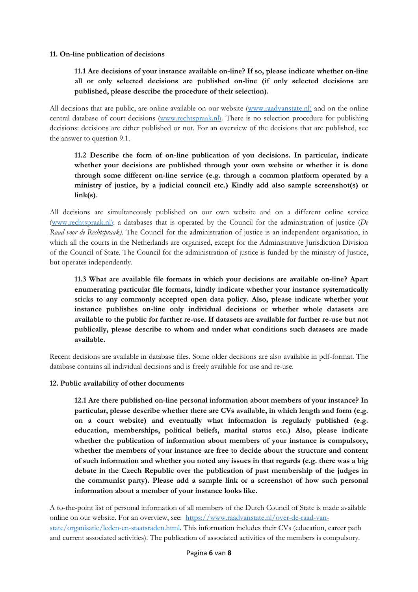#### **11. On-line publication of decisions**

### **11.1 Are decisions of your instance available on-line? If so, please indicate whether on-line all or only selected decisions are published on-line (if only selected decisions are published, please describe the procedure of their selection).**

All decisions that are public, are online available on our website [\(www.raadvanstate.nl\)](http://www.raadvanstate.nl)/) and on the online central database of court decisions [\(www.rechtspraak.nl\).](http://www.rechtspraak.nl)/) There is no selection procedure for publishing decisions: decisions are either published or not. For an overview of the decisions that are published, see the answer to question 9.1.

## **11.2 Describe the form of on-line publication of you decisions. In particular, indicate whether your decisions are published through your own website or whether it is done through some different on-line service (e.g. through a common platform operated by a ministry of justice, by a judicial council etc.) Kindly add also sample screenshot(s) or link(s).**

All decisions are simultaneously published on our own website and on a different online service [\(www.rechtspraak.nl\):](http://www.rechtspraak.nl)/) a databases that is operated by the Council for the administration of justice (*De Raad voor de Rechtspraak).* The Council for the administration of justice is an independent organisation, in which all the courts in the Netherlands are organised, except for the Administrative Jurisdiction Division of the Council of State. The Council for the administration of justice is funded by the ministry of Justice, but operates independently.

**11.3 What are available file formats in which your decisions are available on-line? Apart enumerating particular file formats, kindly indicate whether your instance systematically sticks to any commonly accepted open data policy. Also, please indicate whether your instance publishes on-line only individual decisions or whether whole datasets are available to the public for further re-use. If datasets are available for further re-use but not publically, please describe to whom and under what conditions such datasets are made available.**

Recent decisions are available in database files. Some older decisions are also available in pdf-format. The database contains all individual decisions and is freely available for use and re-use.

#### **12. Public availability of other documents**

**12.1 Are there published on-line personal information about members of your instance? In particular, please describe whether there are CVs available, in which length and form (e.g. on a court website) and eventually what information is regularly published (e.g. education, memberships, political beliefs, marital status etc.) Also, please indicate whether the publication of information about members of your instance is compulsory, whether the members of your instance are free to decide about the structure and content of such information and whether you noted any issues in that regards (e.g. there was a big debate in the Czech Republic over the publication of past membership of the judges in the communist party). Please add a sample link or a screenshot of how such personal information about a member of your instance looks like.**

A to-the-point list of personal information of all members of the Dutch Council of State is made available online on our website. For an overview, see: [https://www.raadvanstate.nl/over-de-raad-van](https://www.raadvanstate.nl/over-de-raad-van-state/organisatie/leden-en-staatsraden.html)[state/organisatie/leden-en-staatsraden.html.](https://www.raadvanstate.nl/over-de-raad-van-state/organisatie/leden-en-staatsraden.html) This information includes their CVs (education, career path and current associated activities). The publication of associated activities of the members is compulsory.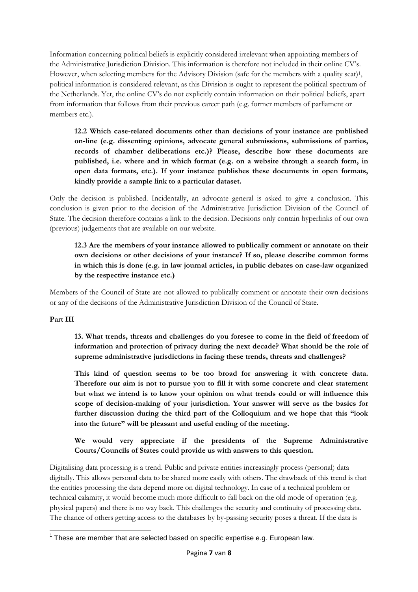Information concerning political beliefs is explicitly considered irrelevant when appointing members of the Administrative Jurisdiction Division. This information is therefore not included in their online CV's. However, when selecting members for the Advisory Division (safe for the members with a quality seat)<sup>1</sup>, political information is considered relevant, as this Division is ought to represent the political spectrum of the Netherlands. Yet, the online CV's do not explicitly contain information on their political beliefs, apart from information that follows from their previous career path (e.g. former members of parliament or members etc.).

**12.2 Which case-related documents other than decisions of your instance are published on-line (e.g. dissenting opinions, advocate general submissions, submissions of parties, records of chamber deliberations etc.)? Please, describe how these documents are published, i.e. where and in which format (e.g. on a website through a search form, in open data formats, etc.). If your instance publishes these documents in open formats, kindly provide a sample link to a particular dataset.**

Only the decision is published. Incidentally, an advocate general is asked to give a conclusion. This conclusion is given prior to the decision of the Administrative Jurisdiction Division of the Council of State. The decision therefore contains a link to the decision. Decisions only contain hyperlinks of our own (previous) judgements that are available on our website.

**12.3 Are the members of your instance allowed to publically comment or annotate on their own decisions or other decisions of your instance? If so, please describe common forms in which this is done (e.g. in law journal articles, in public debates on case-law organized by the respective instance etc.)**

Members of the Council of State are not allowed to publically comment or annotate their own decisions or any of the decisions of the Administrative Jurisdiction Division of the Council of State.

#### **Part III**

**13. What trends, threats and challenges do you foresee to come in the field of freedom of information and protection of privacy during the next decade? What should be the role of supreme administrative jurisdictions in facing these trends, threats and challenges?**

**This kind of question seems to be too broad for answering it with concrete data. Therefore our aim is not to pursue you to fill it with some concrete and clear statement but what we intend is to know your opinion on what trends could or will influence this scope of decision-making of your jurisdiction. Your answer will serve as the basics for further discussion during the third part of the Colloquium and we hope that this "look into the future" will be pleasant and useful ending of the meeting.**

**We would very appreciate if the presidents of the Supreme Administrative Courts/Councils of States could provide us with answers to this question.**

Digitalising data processing is a trend. Public and private entities increasingly process (personal) data digitally. This allows personal data to be shared more easily with others. The drawback of this trend is that the entities processing the data depend more on digital technology. In case of a technical problem or technical calamity, it would become much more difficult to fall back on the old mode of operation (e.g. physical papers) and there is no way back. This challenges the security and continuity of processing data. The chance of others getting access to the databases by by-passing security poses a threat. If the data is

<span id="page-7-0"></span> $1$  These are member that are selected based on specific expertise e.g. European law.